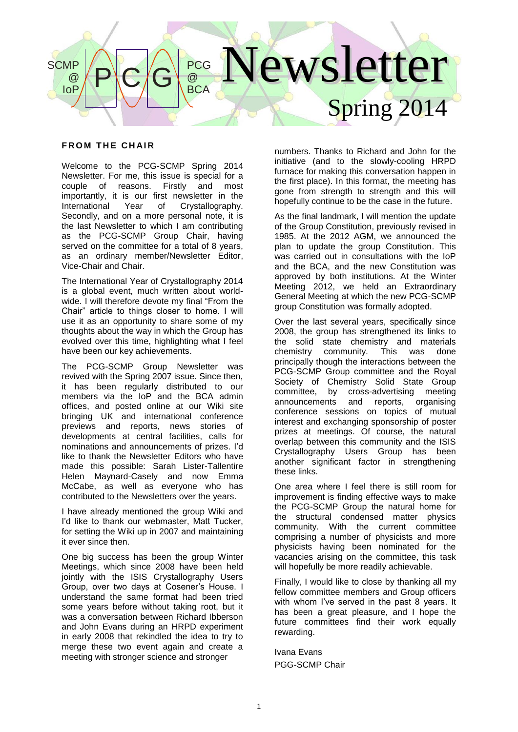### Newsletter Spring 2014  $P$  $C/G$ PCG @ **BCA SCMP** @ IoP

## **FROM THE CHAIR**

Welcome to the PCG-SCMP Spring 2014 Newsletter. For me, this issue is special for a couple of reasons. Firstly and most importantly, it is our first newsletter in the<br>International Year of Crystallography. Year of Crystallography. Secondly, and on a more personal note, it is the last Newsletter to which I am contributing as the PCG-SCMP Group Chair, having served on the committee for a total of 8 years, as an ordinary member/Newsletter Editor, Vice-Chair and Chair.

The International Year of Crystallography 2014 is a global event, much written about worldwide. I will therefore devote my final "From the Chair" article to things closer to home. I will use it as an opportunity to share some of my thoughts about the way in which the Group has evolved over this time, highlighting what I feel have been our key achievements.

The PCG-SCMP Group Newsletter was revived with the Spring 2007 issue. Since then, it has been regularly distributed to our members via the IoP and the BCA admin offices, and posted online at our Wiki site bringing UK and international conference previews and reports, news stories of developments at central facilities, calls for nominations and announcements of prizes. I'd like to thank the Newsletter Editors who have made this possible: Sarah Lister-Tallentire Helen Maynard-Casely and now Emma McCabe, as well as everyone who has contributed to the Newsletters over the years.

I have already mentioned the group Wiki and I'd like to thank our webmaster, Matt Tucker, for setting the Wiki up in 2007 and maintaining it ever since then.

One big success has been the group Winter Meetings, which since 2008 have been held jointly with the ISIS Crystallography Users Group, over two days at Cosener's House. I understand the same format had been tried some years before without taking root, but it was a conversation between Richard Ibberson and John Evans during an HRPD experiment in early 2008 that rekindled the idea to try to merge these two event again and create a meeting with stronger science and stronger

numbers. Thanks to Richard and John for the initiative (and to the slowly-cooling HRPD furnace for making this conversation happen in the first place). In this format, the meeting has gone from strength to strength and this will hopefully continue to be the case in the future.

As the final landmark, I will mention the update of the Group Constitution, previously revised in 1985. At the 2012 AGM, we announced the plan to update the group Constitution. This was carried out in consultations with the IoP and the BCA, and the new Constitution was approved by both institutions. At the Winter Meeting 2012, we held an Extraordinary General Meeting at which the new PCG-SCMP group Constitution was formally adopted.

Over the last several years, specifically since 2008, the group has strengthened its links to the solid state chemistry and materials<br>chemistry community. This was done chemistry community. principally though the interactions between the PCG-SCMP Group committee and the Royal Society of Chemistry Solid State Group committee, by cross-advertising meeting announcements and reports, organising conference sessions on topics of mutual interest and exchanging sponsorship of poster prizes at meetings. Of course, the natural overlap between this community and the ISIS Crystallography Users Group has been another significant factor in strengthening these links.

One area where I feel there is still room for improvement is finding effective ways to make the PCG-SCMP Group the natural home for the structural condensed matter physics community. With the current committee comprising a number of physicists and more physicists having been nominated for the vacancies arising on the committee, this task will hopefully be more readily achievable.

Finally, I would like to close by thanking all my fellow committee members and Group officers with whom I've served in the past 8 years. It has been a great pleasure, and I hope the future committees find their work equally rewarding.

Ivana Evans PGG-SCMP Chair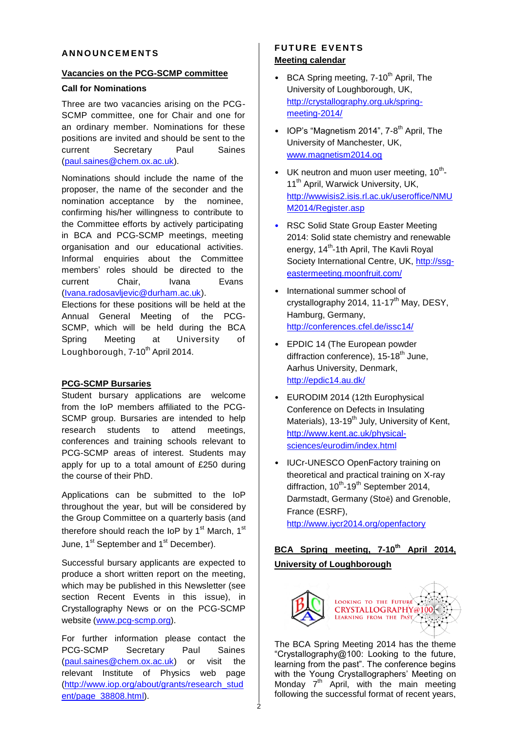### **AN N O U N C E M E N T S**

#### **Vacancies on the PCG-SCMP committee**

#### **Call for Nominations**

Three are two vacancies arising on the PCG-SCMP committee, one for Chair and one for an ordinary member. Nominations for these positions are invited and should be sent to the current Secretary Paul Saines [\(paul.saines@chem.ox.ac.uk\)](mailto:paul.saines@chem.ox.ac.uk).

Nominations should include the name of the proposer, the name of the seconder and the nomination acceptance by the nominee, confirming his/her willingness to contribute to the Committee efforts by actively participating in BCA and PCG-SCMP meetings, meeting organisation and our educational activities. Informal enquiries about the Committee members' roles should be directed to the current Chair, Ivana Evans [\(Ivana.radosavljevic@durham.ac.uk\)](mailto:Ivana.radosavljevic@durham.ac.uk).

Elections for these positions will be held at the Annual General Meeting of the PCG-SCMP, which will be held during the BCA Spring Meeting at University of Loughborough, 7-10<sup>th</sup> April 2014.

### **PCG-SCMP Bursaries**

Student bursary applications are welcome from the IoP members affiliated to the PCG-SCMP group. Bursaries are intended to help research students to attend meetings, conferences and training schools relevant to PCG-SCMP areas of interest. Students may apply for up to a total amount of £250 during the course of their PhD.

Applications can be submitted to the IoP throughout the year, but will be considered by the Group Committee on a quarterly basis (and therefore should reach the IoP by 1<sup>st</sup> March, 1<sup>st</sup> June, 1<sup>st</sup> September and 1<sup>st</sup> December).

Successful bursary applicants are expected to produce a short written report on the meeting, which may be published in this Newsletter (see section Recent Events in this issue), in Crystallography News or on the PCG-SCMP website (www.pcg-scmp.org).

For further information please contact the PCG-SCMP Secretary Paul Saines [\(paul.saines@chem.ox.ac.uk\)](mailto:paul.saines@chem.ox.ac.uk) or visit the relevant Institute of Physics web page [\(http://www.iop.org/about/grants/research\\_stud](http://www.iop.org/about/grants/research_student) [ent/](http://www.iop.org/about/grants/research_student)page\_38808.html).

# **FUTURE EVENTS Meeting calendar**

- BCA Spring meeting,  $7-10^{th}$  April, The University of Loughborough, UK, [http://crystallography.org.uk/spring](http://crystallography.org.uk/spring-meeting-2014/)[meeting-2014/](http://crystallography.org.uk/spring-meeting-2014/)
- IOP's "Magnetism 2014", 7-8<sup>th</sup> April, The University of Manchester, UK, [www.magnetism2014.og](http://www.magnetism2014.og/)
- UK neutron and muon user meeting,  $10^{th}$ -11<sup>th</sup> April, Warwick University, UK, [http://wwwisis2.isis.rl.ac.uk/useroffice/NMU](http://wwwisis2.isis.rl.ac.uk/useroffice/NMUM2014/Register.asp) [M2014/Register.asp](http://wwwisis2.isis.rl.ac.uk/useroffice/NMUM2014/Register.asp)
- RSC Solid State Group Easter Meeting 2014: Solid state chemistry and renewable energy, 14<sup>th</sup>-1th April, The Kavli Royal Society International Centre, UK, [http://ssg](http://ssg-eastermeeting.moonfruit.com/)[eastermeeting.moonfruit.com/](http://ssg-eastermeeting.moonfruit.com/)
- International summer school of crystallography 2014, 11-17<sup>th</sup> May, DESY, Hamburg, Germany, <http://conferences.cfel.de/issc14/>
- EPDIC 14 (The European powder diffraction conference), 15-18<sup>th</sup> June, Aarhus University, Denmark, <http://epdic14.au.dk/>
- EURODIM 2014 (12th Europhysical Conference on Defects in Insulating Materials), 13-19<sup>th</sup> July, University of Kent, [http://www.kent.ac.uk/physical](http://www.kent.ac.uk/physical-sciences/eurodim/index.html)[sciences/eurodim/index.html](http://www.kent.ac.uk/physical-sciences/eurodim/index.html)
- IUCr-UNESCO OpenFactory training on theoretical and practical training on X-ray diffraction, 10<sup>th</sup>-19<sup>th</sup> September 2014, Darmstadt, Germany (Stoë) and Grenoble, France (ESRF),

<http://www.iycr2014.org/openfactory>

# **BCA Spring meeting, 7-10th April 2014, University of Loughborough**



The BCA Spring Meeting 2014 has the theme "Crystallography@100: Looking to the future, learning from the past". The conference begins with the Young Crystallographers' Meeting on Monday  $7<sup>th</sup>$  April, with the main meeting following the successful format of recent years,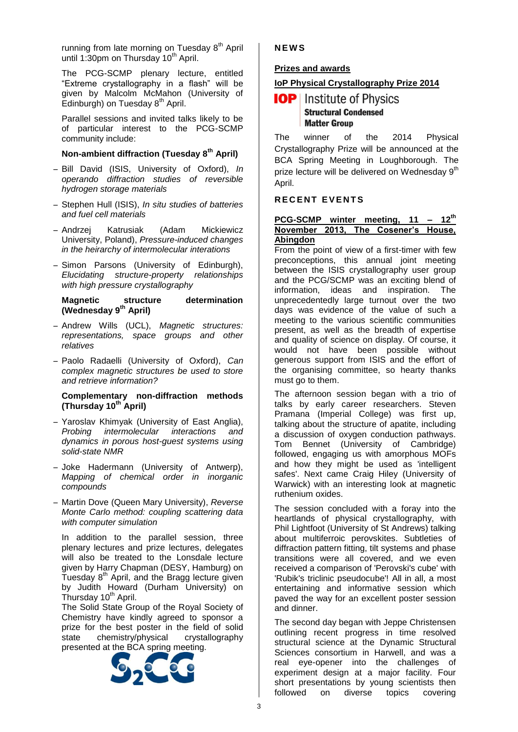running from late morning on Tuesday 8<sup>th</sup> April until 1:30pm on Thursday 10<sup>th</sup> April.

The PCG-SCMP plenary lecture, entitled "Extreme crystallography in a flash" will be given by Malcolm McMahon (University of Edinburgh) on Tuesday  $8<sup>th</sup>$  April.

Parallel sessions and invited talks likely to be of particular interest to the PCG-SCMP community include:

### **Non-ambient diffraction (Tuesday 8th April)**

- Bill David (ISIS, University of Oxford), *In operando diffraction studies of reversible hydrogen storage materials*
- Stephen Hull (ISIS), *In situ studies of batteries and fuel cell materials*
- Andrzej Katrusiak (Adam Mickiewicz University, Poland), *Pressure-induced changes in the heirarchy of intermolecular interations*
- Simon Parsons (University of Edinburgh), *Elucidating structure-property relationships with high pressure crystallography*

#### **Magnetic structure determination (Wednesday 9th April)**

- Andrew Wills (UCL), *Magnetic structures: representations, space groups and other relatives*
- Paolo Radaelli (University of Oxford), *Can complex magnetic structures be used to store and retrieve information?*

#### **Complementary non-diffraction methods (Thursday 10th April)**

- Yaroslav Khimyak (University of East Anglia), *Probing intermolecular interactions and dynamics in porous host-guest systems using solid-state NMR*
- Joke Hadermann (University of Antwerp), *Mapping of chemical order in inorganic compounds*
- Martin Dove (Queen Mary University), *Reverse Monte Carlo method: coupling scattering data with computer simulation*

In addition to the parallel session, three plenary lectures and prize lectures, delegates will also be treated to the Lonsdale lecture given by Harry Chapman (DESY, Hamburg) on Tuesday  $8<sup>th</sup>$  April, and the Bragg lecture given by Judith Howard (Durham University) on Thursday 10<sup>th</sup> April.

The Solid State Group of the Royal Society of Chemistry have kindly agreed to sponsor a prize for the best poster in the field of solid state chemistry/physical crystallography presented at the BCA spring meeting.



**N E W S**

### **Prizes and awards**

# **IoP Physical Crystallography Prize 2014**

# **IOP** Institute of Physics **Structural Condensed Matter Group**

The winner of the 2014 Physical Crystallography Prize will be announced at the BCA Spring Meeting in Loughborough. The prize lecture will be delivered on Wednesday 9<sup>th</sup> April.

### **R E C E N T E V E N T S**

#### **PCG-SCMP winter meeting, 11 – 12th November 2013, The Cosener's House, Abingdon**

From the point of view of a first-timer with few preconceptions, this annual joint meeting between the ISIS crystallography user group and the PCG/SCMP was an exciting blend of information, ideas and inspiration. The unprecedentedly large turnout over the two days was evidence of the value of such a meeting to the various scientific communities present, as well as the breadth of expertise and quality of science on display. Of course, it would not have been possible without generous support from ISIS and the effort of the organising committee, so hearty thanks must go to them.

The afternoon session began with a trio of talks by early career researchers. Steven Pramana (Imperial College) was first up, talking about the structure of apatite, including a discussion of oxygen conduction pathways. Tom Bennet (University of Cambridge) followed, engaging us with amorphous MOFs and how they might be used as 'intelligent safes'. Next came Craig Hiley (University of Warwick) with an interesting look at magnetic ruthenium oxides.

The session concluded with a foray into the heartlands of physical crystallography, with Phil Lightfoot (University of St Andrews) talking about multiferroic perovskites. Subtleties of diffraction pattern fitting, tilt systems and phase transitions were all covered, and we even received a comparison of 'Perovski's cube' with 'Rubik's triclinic pseudocube'! All in all, a most entertaining and informative session which paved the way for an excellent poster session and dinner.

The second day began with Jeppe Christensen outlining recent progress in time resolved structural science at the Dynamic Structural Sciences consortium in Harwell, and was a real eye-opener into the challenges of experiment design at a major facility. Four short presentations by young scientists then followed on diverse topics covering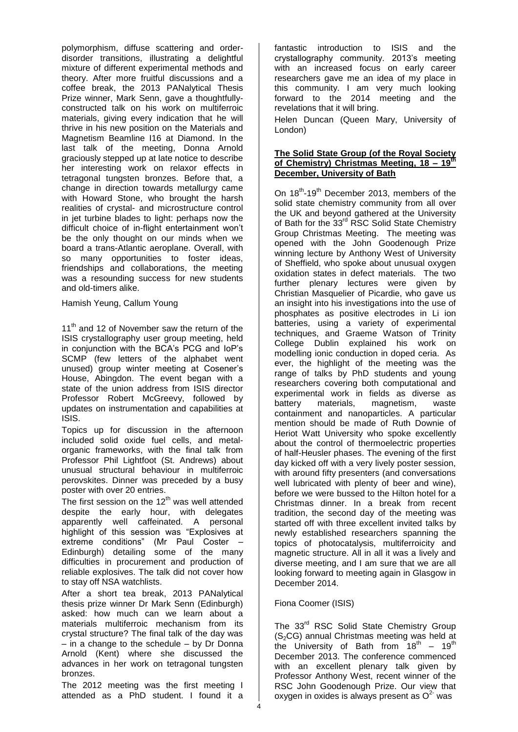polymorphism, diffuse scattering and orderdisorder transitions, illustrating a delightful mixture of different experimental methods and theory. After more fruitful discussions and a coffee break, the 2013 PANalytical Thesis Prize winner, Mark Senn, gave a thoughtfullyconstructed talk on his work on multiferroic materials, giving every indication that he will thrive in his new position on the Materials and Magnetism Beamline I16 at Diamond. In the last talk of the meeting, Donna Arnold graciously stepped up at late notice to describe her interesting work on relaxor effects in tetragonal tungsten bronzes. Before that, a change in direction towards metallurgy came with Howard Stone, who brought the harsh realities of crystal- and microstructure control in jet turbine blades to light: perhaps now the difficult choice of in-flight entertainment won't be the only thought on our minds when we board a trans-Atlantic aeroplane. Overall, with so many opportunities to foster ideas, friendships and collaborations, the meeting was a resounding success for new students and old-timers alike.

Hamish Yeung, Callum Young

11<sup>th</sup> and 12 of November saw the return of the ISIS crystallography user group meeting, held in conjunction with the BCA's PCG and IoP's SCMP (few letters of the alphabet went unused) group winter meeting at Cosener's House, Abingdon. The event began with a state of the union address from ISIS director Professor Robert McGreevy, followed by updates on instrumentation and capabilities at ISIS.

Topics up for discussion in the afternoon included solid oxide fuel cells, and metalorganic frameworks, with the final talk from Professor Phil Lightfoot (St. Andrews) about unusual structural behaviour in multiferroic perovskites. Dinner was preceded by a busy poster with over 20 entries.

The first session on the  $12<sup>th</sup>$  was well attended despite the early hour, with delegates apparently well caffeinated. A personal highlight of this session was "Explosives at extreme conditions" (Mr Paul Coster – Edinburgh) detailing some of the many difficulties in procurement and production of reliable explosives. The talk did not cover how to stay off NSA watchlists.

After a short tea break, 2013 PANalytical thesis prize winner Dr Mark Senn (Edinburgh) asked: how much can we learn about a materials multiferroic mechanism from its crystal structure? The final talk of the day was – in a change to the schedule – by Dr Donna Arnold (Kent) where she discussed the advances in her work on tetragonal tungsten bronzes.

The 2012 meeting was the first meeting I attended as a PhD student. I found it a fantastic introduction to ISIS and the crystallography community. 2013's meeting with an increased focus on early career researchers gave me an idea of my place in this community. I am very much looking forward to the 2014 meeting and the revelations that it will bring.

Helen Duncan (Queen Mary, University of London)

#### **The Solid State Group (of the Royal Society of Chemistry) Christmas Meeting, 18 – 19th December, University of Bath**

On 18<sup>th</sup>-19<sup>th</sup> December 2013, members of the solid state chemistry community from all over the UK and beyond gathered at the University of Bath for the 33<sup>rd</sup> RSC Solid State Chemistry Group Christmas Meeting. The meeting was opened with the John Goodenough Prize winning lecture by Anthony West of University of Sheffield, who spoke about unusual oxygen oxidation states in defect materials. The two further plenary lectures were given by Christian Masquelier of Picardie, who gave us an insight into his investigations into the use of phosphates as positive electrodes in Li ion batteries, using a variety of experimental techniques, and Graeme Watson of Trinity College Dublin explained his work on modelling ionic conduction in doped ceria. As ever, the highlight of the meeting was the range of talks by PhD students and young researchers covering both computational and experimental work in fields as diverse as magnetism, containment and nanoparticles. A particular mention should be made of Ruth Downie of Heriot Watt University who spoke excellently about the control of thermoelectric properties of half-Heusler phases. The evening of the first day kicked off with a very lively poster session, with around fifty presenters (and conversations well lubricated with plenty of beer and wine), before we were bussed to the Hilton hotel for a Christmas dinner. In a break from recent tradition, the second day of the meeting was started off with three excellent invited talks by newly established researchers spanning the topics of photocatalysis, multiferroicity and magnetic structure. All in all it was a lively and diverse meeting, and I am sure that we are all looking forward to meeting again in Glasgow in December 2014.

# Fiona Coomer (ISIS)

The 33<sup>rd</sup> RSC Solid State Chemistry Group  $(S<sub>2</sub>CG)$  annual Christmas meeting was held at the University of Bath from  $18^{th}$  – 19<sup>th</sup> December 2013. The conference commenced with an excellent plenary talk given by Professor Anthony West, recent winner of the RSC John Goodenough Prize. Our view that oxygen in oxides is always present as  $O^2$  was